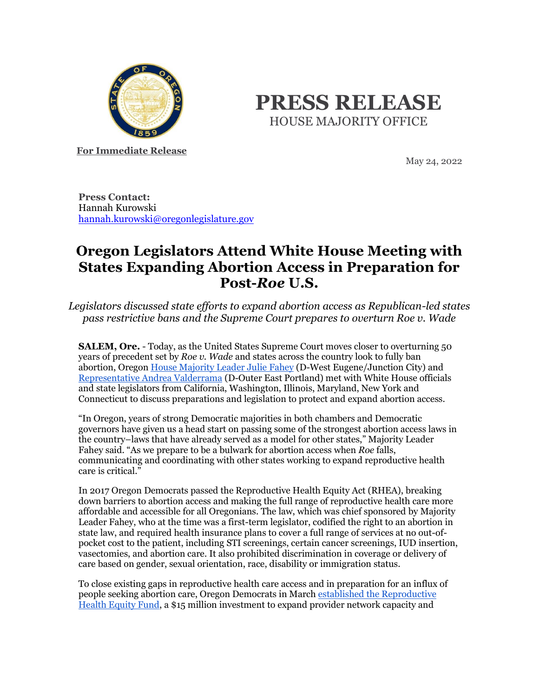

## **PRESS RELEASE** HOUSE MAJORITY OFFICE

**For Immediate Release**

May 24, 2022

**Press Contact:** Hannah Kurowski [hannah.kurowski@oregonlegislature.gov](mailto:hannah.kurowski@oregonlegislature.gov)

## **Oregon Legislators Attend White House Meeting with States Expanding Abortion Access in Preparation for Post-***Roe* **U.S.**

*Legislators discussed state efforts to expand abortion access as Republican-led states pass restrictive bans and the Supreme Court prepares to overturn Roe v. Wade*

**SALEM, Ore.** - Today, as the United States Supreme Court moves closer to overturning 50 years of precedent set by *Roe v. Wade* and states across the country look to fully ban abortion, Oregon [House Majority Leader Julie Fahey](https://www.oregonlegislature.gov/fahey) (D-West Eugene/Junction City) and [Representative Andrea Valderrama](https://www.oregonlegislature.gov/valderrama) (D-Outer East Portland) met with White House officials and state legislators from California, Washington, Illinois, Maryland, New York and Connecticut to discuss preparations and legislation to protect and expand abortion access.

"In Oregon, years of strong Democratic majorities in both chambers and Democratic governors have given us a head start on passing some of the strongest abortion access laws in the country–laws that have already served as a model for other states," Majority Leader Fahey said. "As we prepare to be a bulwark for abortion access when *Roe* falls, communicating and coordinating with other states working to expand reproductive health care is critical."

In 2017 Oregon Democrats passed the Reproductive Health Equity Act (RHEA), breaking down barriers to abortion access and making the full range of reproductive health care more affordable and accessible for all Oregonians. The law, which was chief sponsored by Majority Leader Fahey, who at the time was a first-term legislator, codified the right to an abortion in state law, and required health insurance plans to cover a full range of services at no out-ofpocket cost to the patient, including STI screenings, certain cancer screenings, IUD insertion, vasectomies, and abortion care. It also prohibited discrimination in coverage or delivery of care based on gender, sexual orientation, race, disability or immigration status.

To close existing gaps in reproductive health care access and in preparation for an influx of people seeking abortion care, Oregon Democrats in Marc[h established the Reproductive](https://www.oregonlegislature.gov/rayfield/Documents/Oregon%20Reproductive%20Health%20Equity%20Fund%20will%20counter%20attacks%20on%20abortion%20access_.pdf)  [Health Equity Fund,](https://www.oregonlegislature.gov/rayfield/Documents/Oregon%20Reproductive%20Health%20Equity%20Fund%20will%20counter%20attacks%20on%20abortion%20access_.pdf) a \$15 million investment to expand provider network capacity and